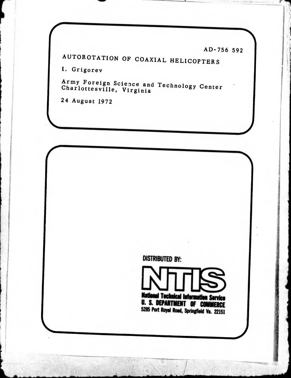AD-756 592

AUTOROTATION OF COAXIAL HELICOPTERS

I. Grigorev

Army Foreign Science and Technology Center<br>Charlottesville, Virginia

24 August 1972

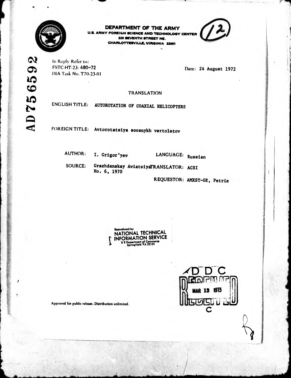

DEPARTMENT OF THE ARMY **U.S. ARMY FOREIGN SCIENCE AND TECHNOLOGY CENTER** 

220 SEVENTH STREET NE. CHARLOTTESVILLE, VIRGINIA 22901

In Reply Refer to: FSTC-HT-23-480-72 DIA Task No. T70-23-01

Date: 24 August 1972

**TRANSLATION** 

ENGLISH TITLE: AUTOROTATION OF COAXIAL HELICOPTERS

FOREIGN TITLE: Avtorotatsiya soosnykh vertoletov

**AUTHOR:** 

I. Grigor'yev

LANGUAGE: Russian

Grazhdanskay AviatsiyaTRANSLATOR: ACSI **SOURCE:** No. 6, 1970

REQUESTOR: AMXST-GE, Petrie

| ľ | Reproduced by<br>NATIONAL TECHNICAL<br><b>INFORMATION SERVICE</b><br>U.S. Department of Commerce<br>Springfield VA 22151 |
|---|--------------------------------------------------------------------------------------------------------------------------|
|   |                                                                                                                          |



Approved for public release. Distribution unlimited.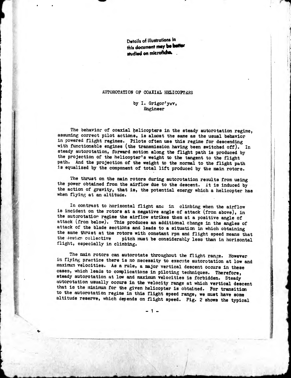Details of illustrations in this document may be better studied on microficine.

## AUTOROTATION OF COAXIAL HELICOPTERS

## by I. Grigor'yev, Engineer

The behavior of coaxial helicopters in the steady autorotation regime, assuming correct pilot actions, is almost the same as the usual behavior in powered flight regimes. Pilots often use this regime for descending with functionable engines (the transmission having been switched off). In steady autorotation, forward motion along the flight path is produced by the projection of the helicopter's weight to the tangent to the flight path. And the projection of the weight to the normal to the flight path is equalized by the component of total lift produced by the main rotors.

The thrust on the main rotors during autorotation results from using the power obtained from the airflow due to the descent. It is induced by the action of gravity, that is, the potential energy which a helicopter has when flying at an altitude.

In contrast to horizontal flight ana in climbing when the airflow is incident on the rotors at a negative angle of attack (from above), in the autorotatior regime the airflow strikes them at a positive angle of attack (from below). This produces an additional change in the angles of attack of the blade sections and leads to a situation in which obtaining the same thrust at the rotors with constant rpm and flight speed means that the design collective pitch must be considerably less than in horizontal pitch must be considerably less than in horizontal flight, especially in climbing.

The main rotors can autorotate throughout the flight range. However in flying practice there is no necessity to execute autorotation at low and maximum velocities. As a rule, a major vertical descent occurs in these cases, which leads to complications in piloting techniques. Therefore, steady autorotation at low and maximum velocities is forbidden. Steady autorotation usually occurs in the velocity range at which vertical descent that is the minimum for the given helicopter is obtained. Por transition to the autorotation regime in this flight speed range, we must have some altitude reserve, which depends on flight speed. Pig. 2 shows the typical

- <sup>1</sup> -

. /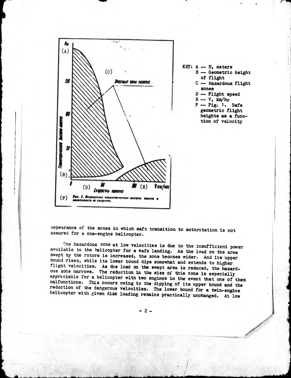

KEY: <sup>A</sup> — H, meters <sup>B</sup> — Geometric height of flight C -- Hazardous flight zones <sup>D</sup> — Plight speed  $E - V$ , km/hr  $F - Fig. 1.$  Safe

geometric flight heights as a function of velocity

appearance of the zones in which safe transition to autorotation is not assured for a one-engine helicopter.

The hazardous zone at low velocities is due to the insufficient power available to the helicopter for a safe landing. As the load on the area swept by the rotors is increased, the zone becomes wider. And its upper bound rises, while its lower bound dips somewhat and extends to higher flight velocities. As the load on the swept area is reduced, the hazardous zone narrows. The reduction in the size of this zone is especially appreciable for a helicopter with two engines in the event that one of them malfunctions. This occurs owing to the dipping of its upper bound and the reduction of the dangerous velocities. The lower bound for a twin-engine helicopter with given disk loading remains practically unchanged. At low

- 2 -

/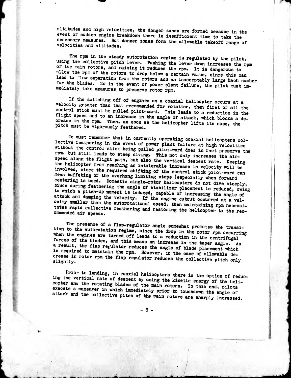altitudes and high velocities, the danger zones are formed because in the event of sudden engine breakdown there is insufficient time to take the necessary measures. But danger zones form the allowable takeoff range of velocities and altitudes.

The rpm in the steady autorotation regime is regulated by the pilot, using the collective pitch lever. Pushing the lever down increases the rpm of the main rotors, and raising it reduces the rpm. It is dangerous to allow the rpm of the rotors to drop below a certain value, since this can lead to flow separation from the rotors and an inacceptably large Mach number for the blades. So in the event of power plant failure, the pilot must immediately take measures to preserve rotor rpm.

If the switching off of engines on a coaxial helicopter occurs at a velocity greater than that recommended for rotation, then first of all the control stick must be pulled pilot-ward. This leads to a reduction in the flight speed and to an increase in the angle of attack, which blocks a decrease in the rpm. Then, as soon as the helicopter lifts its nose, the pitch must be vigorously feathered.

We must remember that in currently operating coaxial helicopters collective feathering in the event of power plant failure at high velocities without the control stick being pulled pilot-ward does in fact preserve the rpm, but still leads to steep diving. This not only increases the airspeed along the flight path, but also the vertical descent rate. Keeping the helicopter from reaching an intolerable increase in velocity will be involved, since the required shifting of the control stick pilot-ward can mean buffeting of the overhang limiting stops (especially when forward centering is used. Domestic single-rotor helicopters do not dive steeply, since during feathering the angle of stabilizer placement is reduced, owing to which a pitch-up moment is induced, capable of increasing the angle of attack and damping the velocity. If the engine cutout occurred at a velocity smaller than the autorotational speed, then maintaining rpm necessitates rapid collective feathering and restoring the helicopter to the recommended air speeds.

The presence of a flap-regulator angle somewhat promotes the transition to the autorotation regime, since the drop in the rotor rpm occurring when the engines are turned off leads to a reduction in the centrifugal forces of the blades, and this means an increase in the taper angle. As a result, the flap regulator reduces the angle of blade placement which is required to maintain the rpm. However, in the case of allowable decrease in rotor rpm the flap regulator reduces the collective pitch only slightly.

Prior to landing, in coaxial helicopters there is the option of reducing the vertical rate of descent by using the kinetic energy of the helicopter and the rotating blades of the main rotors. To this end, pilots execute a maneuver in which immediately prior to touchdown the angle of attack and the collective pitch of the main rotors are sharply increased.

 $-3-$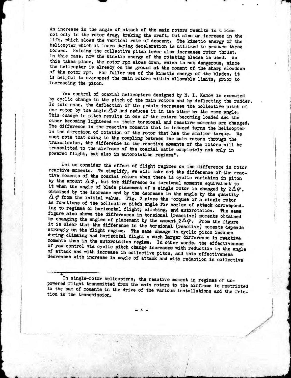An increase in the angle of attack of the main rotors results in  $\alpha$  rise not only in the rotor drag, braking the craft, but also an increase in the lift, which slows the vertical rate of descent. The kinetic energy of the helicopter which it loses during deceleration is utilized to produce these forces. Raising the collective pitch lever also increases rotor thrust. In this case, now the kinetic energy of the rotating blades is used. As this takes place, the rotor rpm slows down, which is not dangerous, since the helicopter is already on the ground at the moment of the sharp slowdown of the rotor rpm. Por fuller use of the kinetic energy of the blades, it is helpful to overspeed the main rotors within allowable limits, prior to increasing the pitch.

Yaw control of coaxial helicopters designed by N. I. Kamov is executed by cyclic change in the pitch of the main rotors and by deflecting the rudder. In this case, the deflection of the pedals increases the collective pitch of one rotor by the angle  $\Delta\varphi$  and reduces it in the other by the same angle. This change in pitch results in one of the rotors becoming loaded and the other becoming lightened — their torsional and reactive moments are changed. The difference in the reactive moments that is induced turns the helicopter in the direction of rotation of the rotor that has the smaller torque. We must note that owing to the coupling between the main rotors through the transmission, the difference in the reactive moments of the rotors will be transmitted to the airframe of the coaxial cable completely not only in powered flight, but also in autorotation regimes\*.

Let us consider the effect of flight regimes on the difference in rotor reactive moments. To simplify, we will take not the difference of the reactive moments of the coaxial rotors when there is cyclic variation in pitch by the amount  $\Delta\varphi$ , but the difference in torsional moments equivalent to it when the angle of blade placement of a single rotor is changed by  $2\Delta\varphi$ , obtained by the increase and by the decrease in the angle by the quantity  $\Delta \varphi$  from the initial value. Fig. 2 gives the torques of a single rotor as functions of the collective pitch angle for angles of attack corresponding to regimes of horizontal flight, climbing, and autorotation. The same figure also shows the differences in torsional (reactive) moments obtained by changing the angles of placement by the amount  $2\Delta\varphi$ . From the figure it is clear that the difference in the torsional (reactive) moments depends strongly on the flight regime. The same change in cyclic pitch induces during climbing and horizontal flight a much larger difference in reactive moments than in the autorotation regime. In other words, the effectiveness of yaw control via cyclic pitch change increases with reduction in the angle of attack and with increase in collective pitch, and this effectiveness decreases with increase in angle of attack and with reduction in collective

In single-rotor helicopters, the reactive moment in regimes of unpowered flight transmitted from the main rotors to the airframe is restricted to the sum of moments in the drive of the various installations and the friction in the transmission.

\*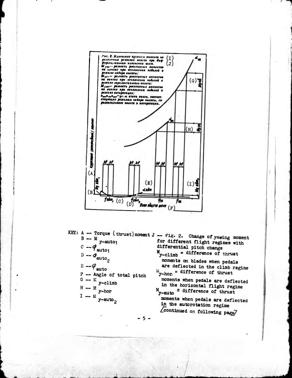

KEY: A -- Torque (thrust) moment  $J -$  Fig. 2. Change of yawing moment  $B - M$ <br>  $C - Q$ <br>  $C - Q$ <br>  $C$ <br>  $C$ <br>  $C$ <br>  $C$ <br>  $C$ <br>  $C$ <br>  $D$  $D - \Phi_{\text{auto}_2}$  $E - \varphi_{\text{auto}}$  $F$  -- Angle of total pitch  $G - M$  y-climb  $H - M$  y-hor  $I - M$  y-auto<sub>2</sub>

for different flight regimes with differential pitch change  $M_{y-climb}$  = difference of thrust moments on blades when pedals are deflected in the climb regime  $y$ -hor. = difference of thrust moments when pedals are deflected in the horizontal flight regime  $M_{y-\text{auto}} =$  difference of thrust moments when pedals are deflected in the autorotation regime Leontinued on following page/

-5.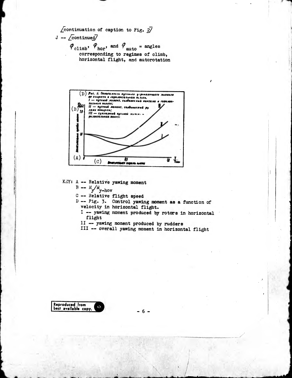$\sqrt{\text{continuous}}$  of caption to Fig.  $2\sqrt{2}$  $J - \sqrt{\text{continued}}$  $\varphi_{\text{climb}}, \varphi_{\text{hor}}, \text{ and } \varphi_{\text{auto}} = \text{angles}$ corresponding to regimes of climb,

horizontal flight, and autorotation



KEY: A -- Relative yawing moment

 $B - W_y / W$ 

C -- Relative flight speed

D -- Fig. 3. Control yawing moment as a function of velocity in horizontal flight.

I -- yawing moment produced by rotors in horizontal flight

II -- yawing moment produced by rudders

III -- overall yawing moment in horizontal flight